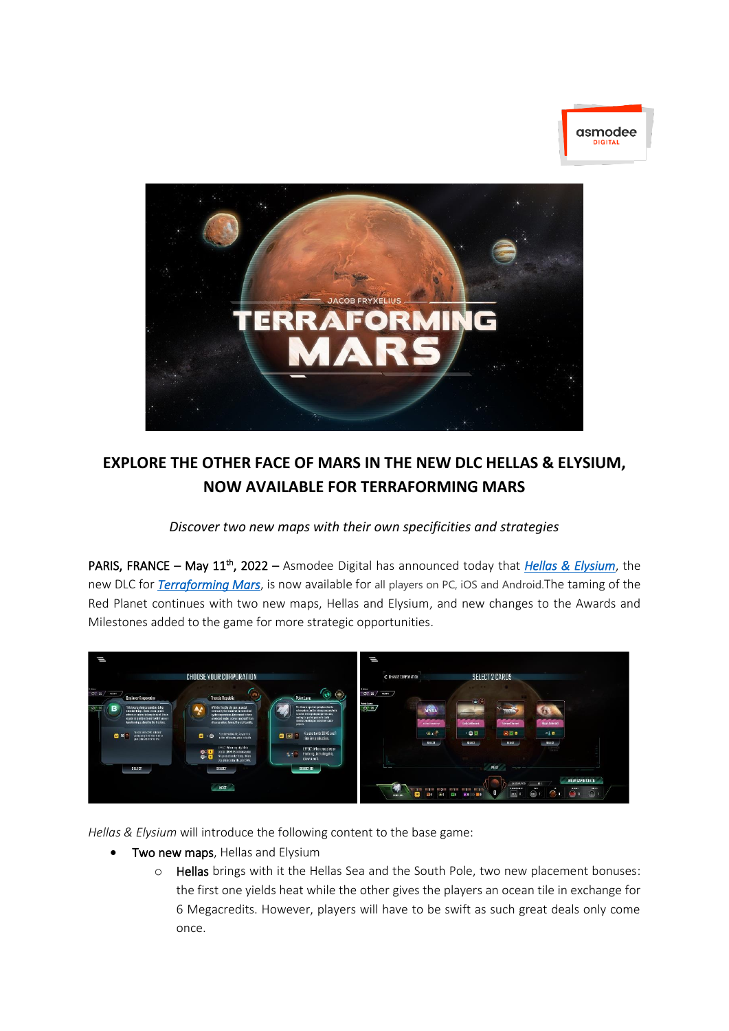



# **EXPLORE THE OTHER FACE OF MARS IN THE NEW DLC HELLAS & ELYSIUM, NOW AVAILABLE FOR TERRAFORMING MARS**

*Discover two new maps with their own specificities and strategies*

PARIS, FRANCE – May 11th, 2022 – Asmodee Digital has announced today that *[Hellas & Elysium](https://store.steampowered.com/app/1785010/Terraforming_Mars__Hellas__Elysium/)*, the new DLC for *[Terraforming Mars](https://store.steampowered.com/app/800270/Terraforming_Mars/)*, is now available for all players on PC, iOS and Android.The taming of the Red Planet continues with two new maps, Hellas and Elysium, and new changes to the Awards and Milestones added to the game for more strategic opportunities.



*Hellas & Elysium* will introduce the following content to the base game:

- Two new maps, Hellas and Elysium
	- o Hellas brings with it the Hellas Sea and the South Pole, two new placement bonuses: the first one yields heat while the other gives the players an ocean tile in exchange for 6 Megacredits. However, players will have to be swift as such great deals only come once.